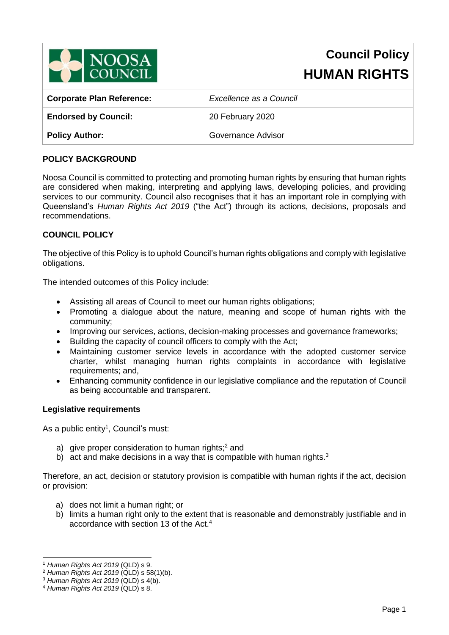

# **Council Policy HUMAN RIGHTS**

| <b>Corporate Plan Reference:</b> | Excellence as a Council |  |
|----------------------------------|-------------------------|--|
| <b>Endorsed by Council:</b>      | 20 February 2020        |  |
| <b>Policy Author:</b>            | Governance Advisor      |  |

# **POLICY BACKGROUND**

Noosa Council is committed to protecting and promoting human rights by ensuring that human rights are considered when making, interpreting and applying laws, developing policies, and providing services to our community. Council also recognises that it has an important role in complying with Queensland's *Human Rights Act 2019* ("the Act") through its actions, decisions, proposals and recommendations.

# **COUNCIL POLICY**

The objective of this Policy is to uphold Council's human rights obligations and comply with legislative obligations.

The intended outcomes of this Policy include:

- Assisting all areas of Council to meet our human rights obligations;
- Promoting a dialogue about the nature, meaning and scope of human rights with the community;
- Improving our services, actions, decision-making processes and governance frameworks;
- Building the capacity of council officers to comply with the Act;
- Maintaining customer service levels in accordance with the adopted customer service charter, whilst managing human rights complaints in accordance with legislative requirements; and,
- Enhancing community confidence in our legislative compliance and the reputation of Council as being accountable and transparent.

# **Legislative requirements**

As a public entity<sup>1</sup>, Council's must:

- a) give proper consideration to human rights;<sup>2</sup> and
- b) act and make decisions in a way that is compatible with human rights.<sup>3</sup>

Therefore, an act, decision or statutory provision is compatible with human rights if the act, decision or provision:

- a) does not limit a human right; or
- b) limits a human right only to the extent that is reasonable and demonstrably justifiable and in accordance with section 13 of the Act.<sup>4</sup>

-

<sup>1</sup> *Human Rights Act 2019* (QLD) s 9.

<sup>2</sup> *Human Rights Act 2019* (QLD) s 58(1)(b).

<sup>3</sup> *Human Rights Act 2019* (QLD) s 4(b).

<sup>4</sup> *Human Rights Act 2019* (QLD) s 8.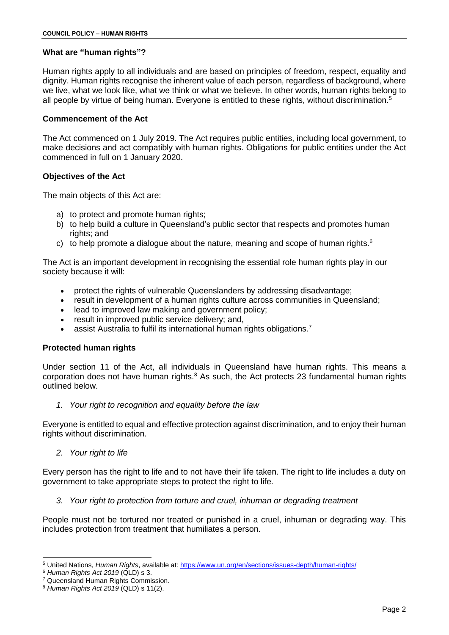# **What are "human rights"?**

Human rights apply to all individuals and are based on principles of freedom, respect, equality and dignity. Human rights recognise the inherent value of each person, regardless of background, where we live, what we look like, what we think or what we believe. In other words, human rights belong to all people by virtue of being human. Everyone is entitled to these rights, without discrimination.<sup>5</sup>

#### **Commencement of the Act**

The Act commenced on 1 July 2019. The Act requires public entities, including local government, to make decisions and act compatibly with human rights. Obligations for public entities under the Act commenced in full on 1 January 2020.

# **Objectives of the Act**

The main objects of this Act are:

- a) to protect and promote human rights;
- b) to help build a culture in Queensland's public sector that respects and promotes human rights; and
- c) to help promote a dialogue about the nature, meaning and scope of human rights. $6$

The Act is an important development in recognising the essential role human rights play in our society because it will:

- protect the rights of vulnerable Queenslanders by addressing disadvantage;
- result in development of a human rights culture across communities in Queensland;
- lead to improved law making and government policy;
- result in improved public service delivery; and,
- assist Australia to fulfil its international human rights obligations.<sup>7</sup>

# **Protected human rights**

Under section 11 of the Act, all individuals in Queensland have human rights. This means a corporation does not have human rights. $8$  As such, the Act protects 23 fundamental human rights outlined below.

*1. Your right to recognition and equality before the law*

Everyone is entitled to equal and effective protection against discrimination, and to enjoy their human rights without discrimination.

*2. Your right to life*

Every person has the right to life and to not have their life taken. The right to life includes a duty on government to take appropriate steps to protect the right to life.

*3. Your right to protection from torture and cruel, inhuman or degrading treatment*

People must not be tortured nor treated or punished in a cruel, inhuman or degrading way. This includes protection from treatment that humiliates a person.

<sup>-</sup><sup>5</sup> United Nations, *Human Rights*, available at:<https://www.un.org/en/sections/issues-depth/human-rights/>

<sup>6</sup> *Human Rights Act 2019* (QLD) s 3.

<sup>7</sup> Queensland Human Rights Commission.

<sup>8</sup> *Human Rights Act 2019* (QLD) s 11(2).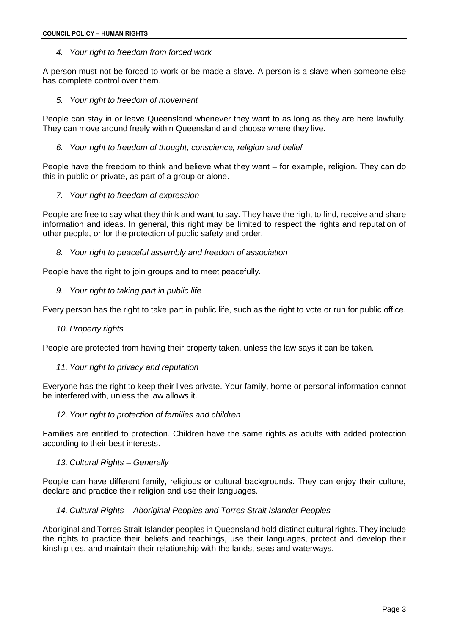# *4. Your right to freedom from forced work*

A person must not be forced to work or be made a slave. A person is a slave when someone else has complete control over them.

## *5. Your right to freedom of movement*

People can stay in or leave Queensland whenever they want to as long as they are here lawfully. They can move around freely within Queensland and choose where they live.

## *6. Your right to freedom of thought, conscience, religion and belief*

People have the freedom to think and believe what they want – for example, religion. They can do this in public or private, as part of a group or alone.

# *7. Your right to freedom of expression*

People are free to say what they think and want to say. They have the right to find, receive and share information and ideas. In general, this right may be limited to respect the rights and reputation of other people, or for the protection of public safety and order.

# *8. Your right to peaceful assembly and freedom of association*

People have the right to join groups and to meet peacefully.

*9. Your right to taking part in public life*

Every person has the right to take part in public life, such as the right to vote or run for public office.

#### *10. Property rights*

People are protected from having their property taken, unless the law says it can be taken.

#### *11. Your right to privacy and reputation*

Everyone has the right to keep their lives private. Your family, home or personal information cannot be interfered with, unless the law allows it.

#### *12. Your right to protection of families and children*

Families are entitled to protection. Children have the same rights as adults with added protection according to their best interests.

#### *13. Cultural Rights – Generally*

People can have different family, religious or cultural backgrounds. They can enjoy their culture, declare and practice their religion and use their languages.

#### *14. Cultural Rights – Aboriginal Peoples and Torres Strait Islander Peoples*

Aboriginal and Torres Strait Islander peoples in Queensland hold distinct cultural rights. They include the rights to practice their beliefs and teachings, use their languages, protect and develop their kinship ties, and maintain their relationship with the lands, seas and waterways.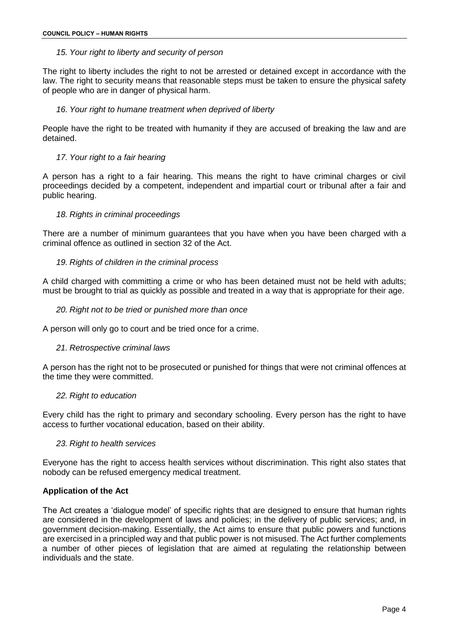# *15. Your right to liberty and security of person*

The right to liberty includes the right to not be arrested or detained except in accordance with the law. The right to security means that reasonable steps must be taken to ensure the physical safety of people who are in danger of physical harm.

# *16. Your right to humane treatment when deprived of liberty*

People have the right to be treated with humanity if they are accused of breaking the law and are detained.

# *17. Your right to a fair hearing*

A person has a right to a fair hearing. This means the right to have criminal charges or civil proceedings decided by a competent, independent and impartial court or tribunal after a fair and public hearing.

#### *18. Rights in criminal proceedings*

There are a number of minimum guarantees that you have when you have been charged with a criminal offence as outlined in section 32 of the Act.

# *19. Rights of children in the criminal process*

A child charged with committing a crime or who has been detained must not be held with adults; must be brought to trial as quickly as possible and treated in a way that is appropriate for their age.

#### *20. Right not to be tried or punished more than once*

A person will only go to court and be tried once for a crime.

#### *21. Retrospective criminal laws*

A person has the right not to be prosecuted or punished for things that were not criminal offences at the time they were committed.

#### *22. Right to education*

Every child has the right to primary and secondary schooling. Every person has the right to have access to further vocational education, based on their ability.

#### *23. Right to health services*

Everyone has the right to access health services without discrimination. This right also states that nobody can be refused emergency medical treatment.

#### **Application of the Act**

The Act creates a 'dialogue model' of specific rights that are designed to ensure that human rights are considered in the development of laws and policies; in the delivery of public services; and, in government decision-making. Essentially, the Act aims to ensure that public powers and functions are exercised in a principled way and that public power is not misused. The Act further complements a number of other pieces of legislation that are aimed at regulating the relationship between individuals and the state.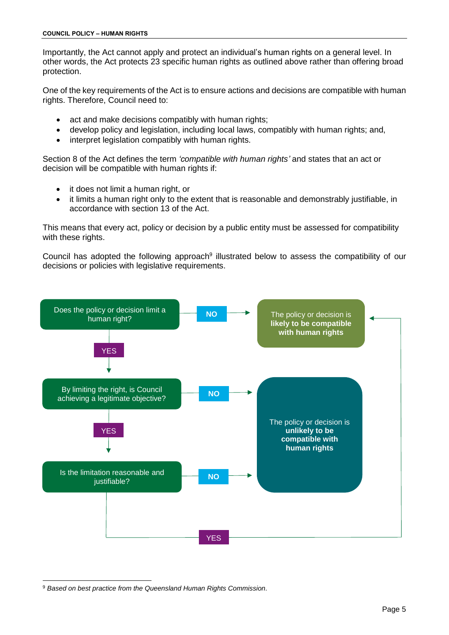Importantly, the Act cannot apply and protect an individual's human rights on a general level. In other words, the Act protects 23 specific human rights as outlined above rather than offering broad protection.

One of the key requirements of the Act is to ensure actions and decisions are compatible with human rights. Therefore, Council need to:

- act and make decisions compatibly with human rights;
- develop policy and legislation, including local laws, compatibly with human rights; and,
- interpret legislation compatibly with human rights.

Section 8 of the Act defines the term *'compatible with human rights'* and states that an act or decision will be compatible with human rights if:

- it does not limit a human right, or
- it limits a human right only to the extent that is reasonable and demonstrably justifiable, in accordance with section 13 of the Act.

This means that every act, policy or decision by a public entity must be assessed for compatibility with these rights.

Council has adopted the following approach<sup>9</sup> illustrated below to assess the compatibility of our decisions or policies with legislative requirements.



<sup>9</sup> *Based on best practice from the Queensland Human Rights Commission.*

-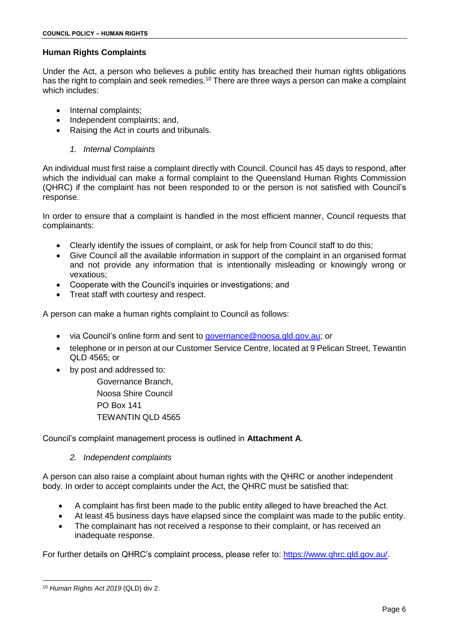# **Human Rights Complaints**

Under the Act, a person who believes a public entity has breached their human rights obligations has the right to complain and seek remedies.<sup>10</sup> There are three ways a person can make a complaint which includes:

- Internal complaints;
- Independent complaints; and,
- Raising the Act in courts and tribunals.

# *1. Internal Complaints*

An individual must first raise a complaint directly with Council. Council has 45 days to respond, after which the individual can make a formal complaint to the Queensland Human Rights Commission (QHRC) if the complaint has not been responded to or the person is not satisfied with Council's response.

In order to ensure that a complaint is handled in the most efficient manner, Council requests that complainants:

- Clearly identify the issues of complaint, or ask for help from Council staff to do this;
- Give Council all the available information in support of the complaint in an organised format and not provide any information that is intentionally misleading or knowingly wrong or vexatious;
- Cooperate with the Council's inquiries or investigations; and
- Treat staff with courtesy and respect.

A person can make a human rights complaint to Council as follows:

- via Council's online form and sent to [governance@noosa.qld.gov.au;](mailto:governance@noosa.qld.gov.au) or
- telephone or in person at our Customer Service Centre, located at 9 Pelican Street, Tewantin QLD 4565; or
- by post and addressed to:

Governance Branch, Noosa Shire Council PO Box 141 TEWANTIN QLD 4565

Council's complaint management process is outlined in **Attachment A**.

# *2. Independent complaints*

A person can also raise a complaint about human rights with the QHRC or another independent body. In order to accept complaints under the Act, the QHRC must be satisfied that:

- A complaint has first been made to the public entity alleged to have breached the Act.
- At least 45 business days have elapsed since the complaint was made to the public entity.
- The complainant has not received a response to their complaint, or has received an inadequate response.

For further details on QHRC's complaint process, please refer to: [https://www.qhrc.qld.gov.au/.](https://www.qhrc.qld.gov.au/)

<sup>-</sup><sup>10</sup> *Human Rights Act 2019* (QLD) div 2.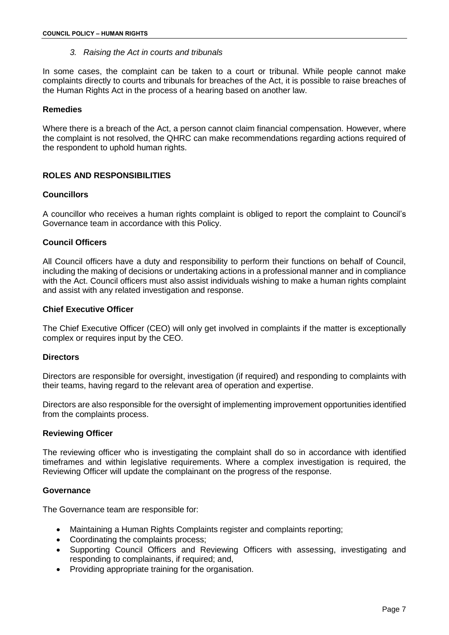*3. Raising the Act in courts and tribunals*

In some cases, the complaint can be taken to a court or tribunal. While people cannot make complaints directly to courts and tribunals for breaches of the Act, it is possible to raise breaches of the Human Rights Act in the process of a hearing based on another law.

# **Remedies**

Where there is a breach of the Act, a person cannot claim financial compensation. However, where the complaint is not resolved, the QHRC can make recommendations regarding actions required of the respondent to uphold human rights.

# **ROLES AND RESPONSIBILITIES**

# **Councillors**

A councillor who receives a human rights complaint is obliged to report the complaint to Council's Governance team in accordance with this Policy.

# **Council Officers**

All Council officers have a duty and responsibility to perform their functions on behalf of Council, including the making of decisions or undertaking actions in a professional manner and in compliance with the Act. Council officers must also assist individuals wishing to make a human rights complaint and assist with any related investigation and response.

# **Chief Executive Officer**

The Chief Executive Officer (CEO) will only get involved in complaints if the matter is exceptionally complex or requires input by the CEO.

#### **Directors**

Directors are responsible for oversight, investigation (if required) and responding to complaints with their teams, having regard to the relevant area of operation and expertise.

Directors are also responsible for the oversight of implementing improvement opportunities identified from the complaints process.

#### **Reviewing Officer**

The reviewing officer who is investigating the complaint shall do so in accordance with identified timeframes and within legislative requirements. Where a complex investigation is required, the Reviewing Officer will update the complainant on the progress of the response.

#### **Governance**

The Governance team are responsible for:

- Maintaining a Human Rights Complaints register and complaints reporting;
- Coordinating the complaints process;
- Supporting Council Officers and Reviewing Officers with assessing, investigating and responding to complainants, if required; and,
- Providing appropriate training for the organisation.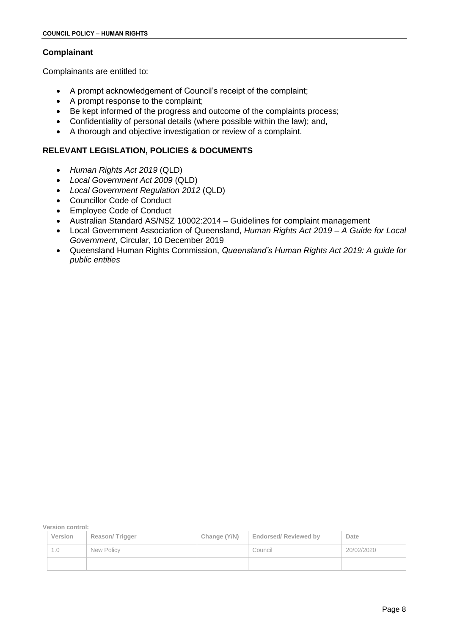# **Complainant**

Complainants are entitled to:

- A prompt acknowledgement of Council's receipt of the complaint;
- A prompt response to the complaint;
- Be kept informed of the progress and outcome of the complaints process;
- Confidentiality of personal details (where possible within the law); and,
- A thorough and objective investigation or review of a complaint.

# **RELEVANT LEGISLATION, POLICIES & DOCUMENTS**

- *Human Rights Act 2019* (QLD)
- *Local Government Act 2009* (QLD)
- *Local Government Regulation 2012* (QLD)
- Councillor Code of Conduct
- Employee Code of Conduct
- Australian Standard AS/NSZ 10002:2014 Guidelines for complaint management
- Local Government Association of Queensland, *Human Rights Act 2019 – A Guide for Local Government*, Circular, 10 December 2019
- Queensland Human Rights Commission, *Queensland's Human Rights Act 2019: A guide for public entities*

**Version control:**

| Version | Reason/Trigger | Change (Y/N) | <b>Endorsed/ Reviewed by</b> | Date       |
|---------|----------------|--------------|------------------------------|------------|
| l .O    | New Policy     |              | Council                      | 20/02/2020 |
|         |                |              |                              |            |